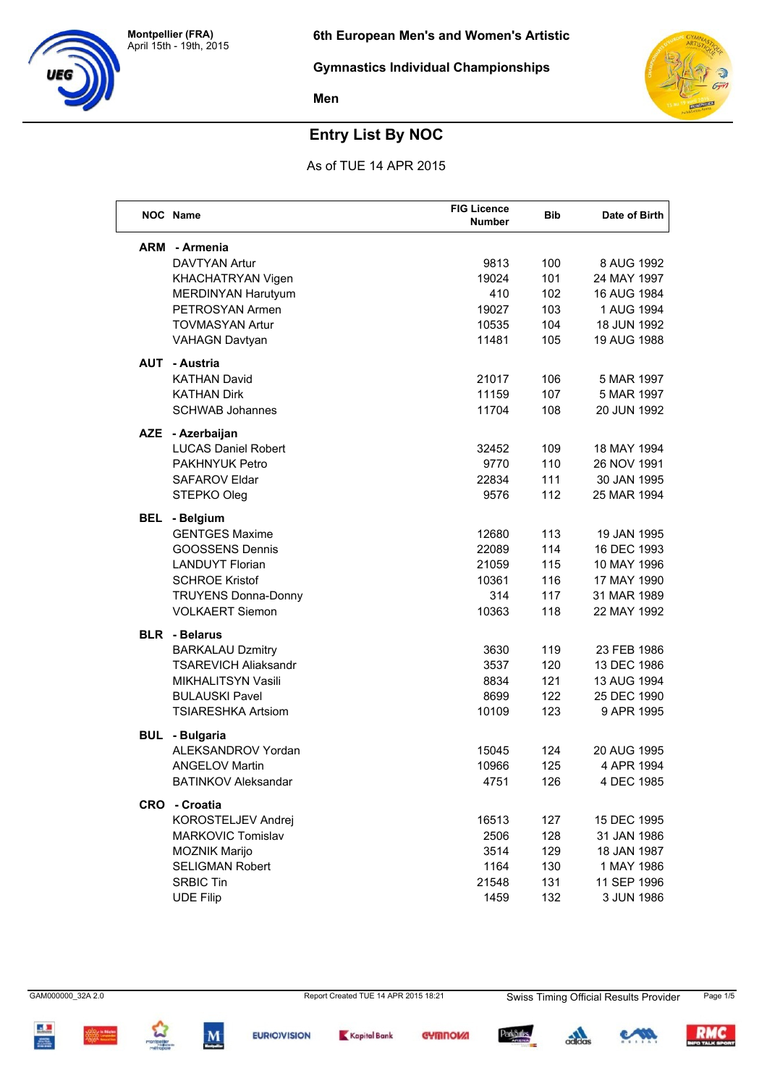



## **Entry List By NOC**

As of TUE 14 APR 2015

|     | NOC Name                    | <b>FIG Licence</b><br><b>Number</b> | <b>Bib</b> | Date of Birth |
|-----|-----------------------------|-------------------------------------|------------|---------------|
| ARM | - Armenia                   |                                     |            |               |
|     | <b>DAVTYAN Artur</b>        | 9813                                | 100        | 8 AUG 1992    |
|     | KHACHATRYAN Vigen           | 19024                               | 101        | 24 MAY 1997   |
|     | <b>MERDINYAN Harutyum</b>   | 410                                 | 102        | 16 AUG 1984   |
|     | PETROSYAN Armen             | 19027                               | 103        | 1 AUG 1994    |
|     | <b>TOVMASYAN Artur</b>      | 10535                               | 104        | 18 JUN 1992   |
|     | <b>VAHAGN Davtyan</b>       | 11481                               | 105        | 19 AUG 1988   |
| AUT | - Austria                   |                                     |            |               |
|     | <b>KATHAN David</b>         | 21017                               | 106        | 5 MAR 1997    |
|     | <b>KATHAN Dirk</b>          | 11159                               | 107        | 5 MAR 1997    |
|     | <b>SCHWAB Johannes</b>      | 11704                               | 108        | 20 JUN 1992   |
|     | AZE - Azerbaijan            |                                     |            |               |
|     | <b>LUCAS Daniel Robert</b>  | 32452                               | 109        | 18 MAY 1994   |
|     | PAKHNYUK Petro              | 9770                                | 110        | 26 NOV 1991   |
|     | SAFAROV Eldar               | 22834                               | 111        | 30 JAN 1995   |
|     | STEPKO Oleg                 | 9576                                | 112        | 25 MAR 1994   |
| BEL | - Belgium                   |                                     |            |               |
|     | <b>GENTGES Maxime</b>       | 12680                               | 113        | 19 JAN 1995   |
|     | <b>GOOSSENS Dennis</b>      | 22089                               | 114        | 16 DEC 1993   |
|     | <b>LANDUYT Florian</b>      | 21059                               | 115        | 10 MAY 1996   |
|     | <b>SCHROE Kristof</b>       | 10361                               | 116        | 17 MAY 1990   |
|     | <b>TRUYENS Donna-Donny</b>  | 314                                 | 117        | 31 MAR 1989   |
|     | <b>VOLKAERT Siemon</b>      | 10363                               | 118        | 22 MAY 1992   |
|     | <b>BLR</b> - Belarus        |                                     |            |               |
|     | <b>BARKALAU Dzmitry</b>     | 3630                                | 119        | 23 FEB 1986   |
|     | <b>TSAREVICH Aliaksandr</b> | 3537                                | 120        | 13 DEC 1986   |
|     | MIKHALITSYN Vasili          | 8834                                | 121        | 13 AUG 1994   |
|     | <b>BULAUSKI Pavel</b>       | 8699                                | 122        | 25 DEC 1990   |
|     | <b>TSIARESHKA Artsiom</b>   | 10109                               | 123        | 9 APR 1995    |
|     | <b>BUL</b> - Bulgaria       |                                     |            |               |
|     | ALEKSANDROV Yordan          | 15045                               | 124        | 20 AUG 1995   |
|     | <b>ANGELOV Martin</b>       | 10966                               | 125        | 4 APR 1994    |
|     | BATINKOV Aleksandar         | 4751                                | 126        | 4 DEC 1985    |
|     | CRO - Croatia               |                                     |            |               |
|     | KOROSTELJEV Andrej          | 16513                               | 127        | 15 DEC 1995   |
|     | MARKOVIC Tomislav           | 2506                                | 128        | 31 JAN 1986   |
|     | <b>MOZNIK Marijo</b>        | 3514                                | 129        | 18 JAN 1987   |
|     | SELIGMAN Robert             | 1164                                | 130        | 1 MAY 1986    |
|     | <b>SRBIC Tin</b>            | 21548                               | 131        | 11 SEP 1996   |
|     | <b>UDE Filip</b>            | 1459                                | 132        | 3 JUN 1986    |

 $\mathbf{A}$ 













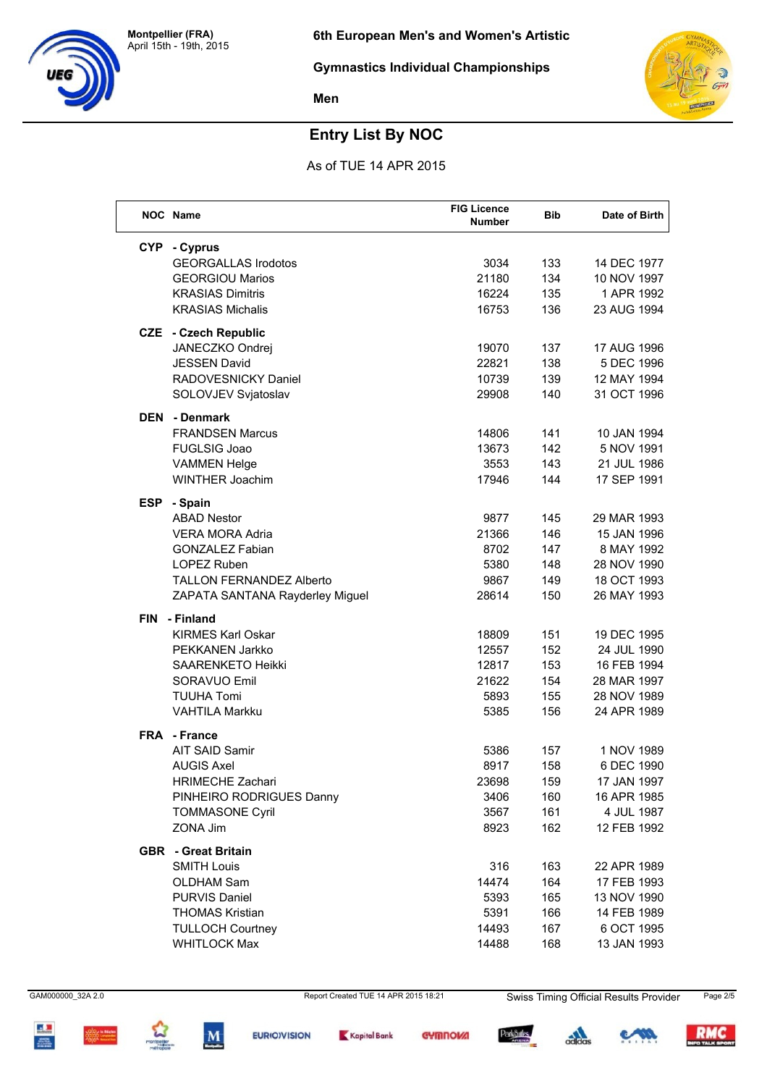



# **Entry List By NOC**

As of TUE 14 APR 2015

|            | NOC Name                        | <b>FIG Licence</b><br><b>Number</b> | <b>Bib</b> | Date of Birth |
|------------|---------------------------------|-------------------------------------|------------|---------------|
| <b>CYP</b> | - Cyprus                        |                                     |            |               |
|            | <b>GEORGALLAS Irodotos</b>      | 3034                                | 133        | 14 DEC 1977   |
|            | <b>GEORGIOU Marios</b>          | 21180                               | 134        | 10 NOV 1997   |
|            | <b>KRASIAS Dimitris</b>         | 16224                               | 135        | 1 APR 1992    |
|            | <b>KRASIAS Michalis</b>         | 16753                               | 136        | 23 AUG 1994   |
| CZE        | - Czech Republic                |                                     |            |               |
|            | JANECZKO Ondrej                 | 19070                               | 137        | 17 AUG 1996   |
|            | <b>JESSEN David</b>             | 22821                               | 138        | 5 DEC 1996    |
|            | RADOVESNICKY Daniel             | 10739                               | 139        | 12 MAY 1994   |
|            | SOLOVJEV Svjatoslav             | 29908                               | 140        | 31 OCT 1996   |
| <b>DEN</b> | - Denmark                       |                                     |            |               |
|            | <b>FRANDSEN Marcus</b>          | 14806                               | 141        | 10 JAN 1994   |
|            | <b>FUGLSIG Joao</b>             | 13673                               | 142        | 5 NOV 1991    |
|            | <b>VAMMEN Helge</b>             | 3553                                | 143        | 21 JUL 1986   |
|            | <b>WINTHER Joachim</b>          | 17946                               | 144        | 17 SEP 1991   |
| <b>ESP</b> | - Spain                         |                                     |            |               |
|            | <b>ABAD Nestor</b>              | 9877                                | 145        | 29 MAR 1993   |
|            | <b>VERA MORA Adria</b>          | 21366                               | 146        | 15 JAN 1996   |
|            | <b>GONZALEZ Fabian</b>          | 8702                                | 147        | 8 MAY 1992    |
|            | LOPEZ Ruben                     | 5380                                | 148        | 28 NOV 1990   |
|            | <b>TALLON FERNANDEZ Alberto</b> | 9867                                | 149        | 18 OCT 1993   |
|            | ZAPATA SANTANA Rayderley Miguel | 28614                               | 150        | 26 MAY 1993   |
| <b>FIN</b> | - Finland                       |                                     |            |               |
|            | <b>KIRMES Karl Oskar</b>        | 18809                               | 151        | 19 DEC 1995   |
|            | PEKKANEN Jarkko                 | 12557                               | 152        | 24 JUL 1990   |
|            | <b>SAARENKETO Heikki</b>        | 12817                               | 153        | 16 FEB 1994   |
|            | SORAVUO Emil                    | 21622                               | 154        | 28 MAR 1997   |
|            | <b>TUUHA Tomi</b>               | 5893                                | 155        | 28 NOV 1989   |
|            | <b>VAHTILA Markku</b>           | 5385                                | 156        | 24 APR 1989   |
|            | FRA - France                    |                                     |            |               |
|            | AIT SAID Samir                  | 5386                                | 157        | 1 NOV 1989    |
|            | <b>AUGIS Axel</b>               | 8917                                | 158        | 6 DEC 1990    |
|            | <b>HRIMECHE Zachari</b>         | 23698                               | 159        | 17 JAN 1997   |
|            | PINHEIRO RODRIGUES Danny        | 3406                                | 160        | 16 APR 1985   |
|            | <b>TOMMASONE Cyril</b>          | 3567                                | 161        | 4 JUL 1987    |
|            | ZONA Jim                        | 8923                                | 162        | 12 FEB 1992   |
|            | <b>GBR</b> - Great Britain      |                                     |            |               |
|            | <b>SMITH Louis</b>              | 316                                 | 163        | 22 APR 1989   |
|            | <b>OLDHAM Sam</b>               | 14474                               | 164        | 17 FEB 1993   |
|            | <b>PURVIS Daniel</b>            | 5393                                | 165        | 13 NOV 1990   |
|            | <b>THOMAS Kristian</b>          | 5391                                | 166        | 14 FEB 1989   |
|            | <b>TULLOCH Courtney</b>         | 14493                               | 167        | 6 OCT 1995    |
|            | <b>WHITLOCK Max</b>             | 14488                               | 168        | 13 JAN 1993   |

GAM000000\_32A 2.0 Report Created TUE 14 APR 2015 18:21 Swiss Timing Official Results Provider Page 2/5





 $\mathbf{M}$ 







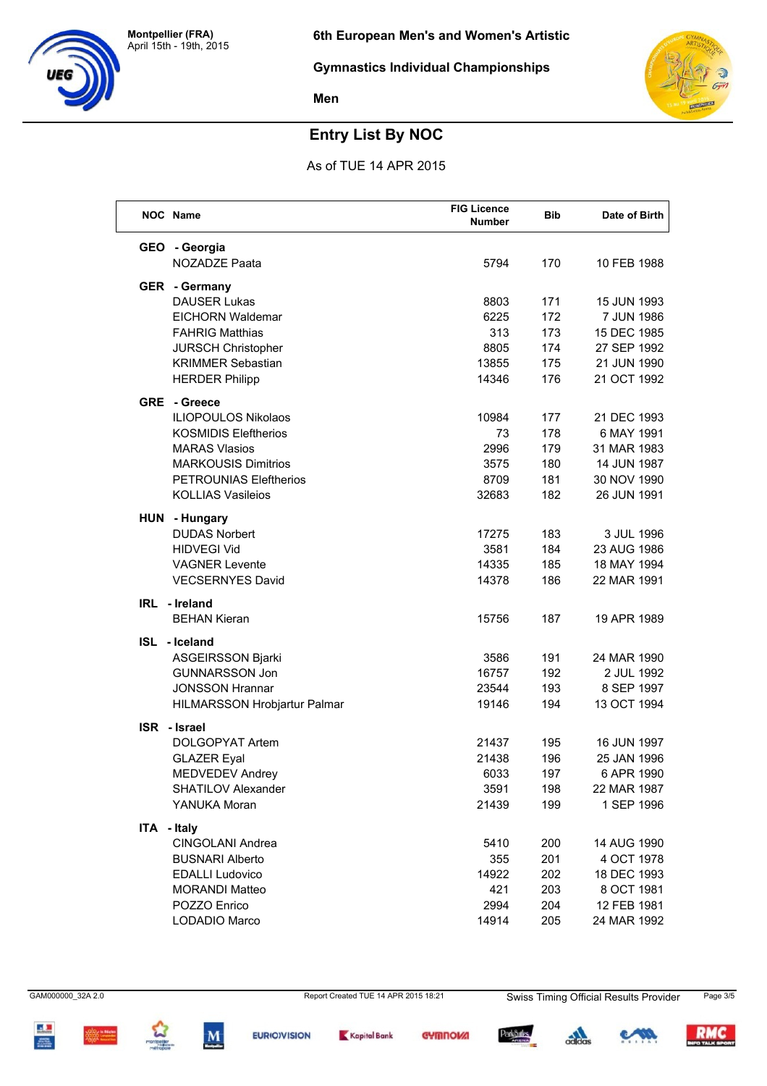



# **Entry List By NOC**

As of TUE 14 APR 2015

|             | <b>NOC</b> Name               | <b>FIG Licence</b><br><b>Number</b> | Bib | Date of Birth |
|-------------|-------------------------------|-------------------------------------|-----|---------------|
|             | GEO - Georgia                 |                                     |     |               |
|             | NOZADZE Paata                 | 5794                                | 170 | 10 FEB 1988   |
|             | <b>GER</b> - Germany          |                                     |     |               |
|             | <b>DAUSER Lukas</b>           | 8803                                | 171 | 15 JUN 1993   |
|             | <b>EICHORN Waldemar</b>       | 6225                                | 172 | 7 JUN 1986    |
|             | <b>FAHRIG Matthias</b>        | 313                                 | 173 | 15 DEC 1985   |
|             | JURSCH Christopher            | 8805                                | 174 | 27 SEP 1992   |
|             | <b>KRIMMER Sebastian</b>      | 13855                               | 175 | 21 JUN 1990   |
|             | <b>HERDER Philipp</b>         | 14346                               | 176 | 21 OCT 1992   |
|             | <b>GRE</b> - Greece           |                                     |     |               |
|             | <b>ILIOPOULOS Nikolaos</b>    | 10984                               | 177 | 21 DEC 1993   |
|             | <b>KOSMIDIS Eleftherios</b>   | 73                                  | 178 | 6 MAY 1991    |
|             | <b>MARAS Vlasios</b>          | 2996                                | 179 | 31 MAR 1983   |
|             | <b>MARKOUSIS Dimitrios</b>    | 3575                                | 180 | 14 JUN 1987   |
|             | <b>PETROUNIAS Eleftherios</b> | 8709                                | 181 | 30 NOV 1990   |
|             | <b>KOLLIAS Vasileios</b>      | 32683                               | 182 | 26 JUN 1991   |
|             | HUN - Hungary                 |                                     |     |               |
|             | <b>DUDAS Norbert</b>          | 17275                               | 183 | 3 JUL 1996    |
|             | <b>HIDVEGI Vid</b>            | 3581                                | 184 | 23 AUG 1986   |
|             | <b>VAGNER Levente</b>         | 14335                               | 185 | 18 MAY 1994   |
|             | <b>VECSERNYES David</b>       | 14378                               | 186 | 22 MAR 1991   |
|             | IRL - Ireland                 |                                     |     |               |
|             | <b>BEHAN Kieran</b>           | 15756                               | 187 | 19 APR 1989   |
|             | ISL - Iceland                 |                                     |     |               |
|             | <b>ASGEIRSSON Bjarki</b>      | 3586                                | 191 | 24 MAR 1990   |
|             | <b>GUNNARSSON Jon</b>         | 16757                               | 192 | 2 JUL 1992    |
|             | <b>JONSSON Hrannar</b>        | 23544                               | 193 | 8 SEP 1997    |
|             | HILMARSSON Hrobjartur Palmar  | 19146                               | 194 | 13 OCT 1994   |
|             | ISR - Israel                  |                                     |     |               |
|             | DOLGOPYAT Artem               | 21437                               | 195 | 16 JUN 1997   |
|             | <b>GLAZER Eyal</b>            | 21438                               | 196 | 25 JAN 1996   |
|             | <b>MEDVEDEV Andrey</b>        | 6033                                | 197 | 6 APR 1990    |
|             | SHATILOV Alexander            | 3591                                | 198 | 22 MAR 1987   |
|             | YANUKA Moran                  | 21439                               | 199 | 1 SEP 1996    |
| ITA - Italy |                               |                                     |     |               |
|             | CINGOLANI Andrea              | 5410                                | 200 | 14 AUG 1990   |
|             | <b>BUSNARI Alberto</b>        | 355                                 | 201 | 4 OCT 1978    |
|             | <b>EDALLI Ludovico</b>        | 14922                               | 202 | 18 DEC 1993   |
|             | <b>MORANDI Matteo</b>         | 421                                 | 203 | 8 OCT 1981    |
|             | POZZO Enrico                  | 2994                                | 204 | 12 FEB 1981   |
|             | LODADIO Marco                 | 14914                               | 205 | 24 MAR 1992   |

GAM000000\_32A 2.0 Report Created TUE 14 APR 2015 18:21 Swiss Timing Official Results Provider Page 3/5











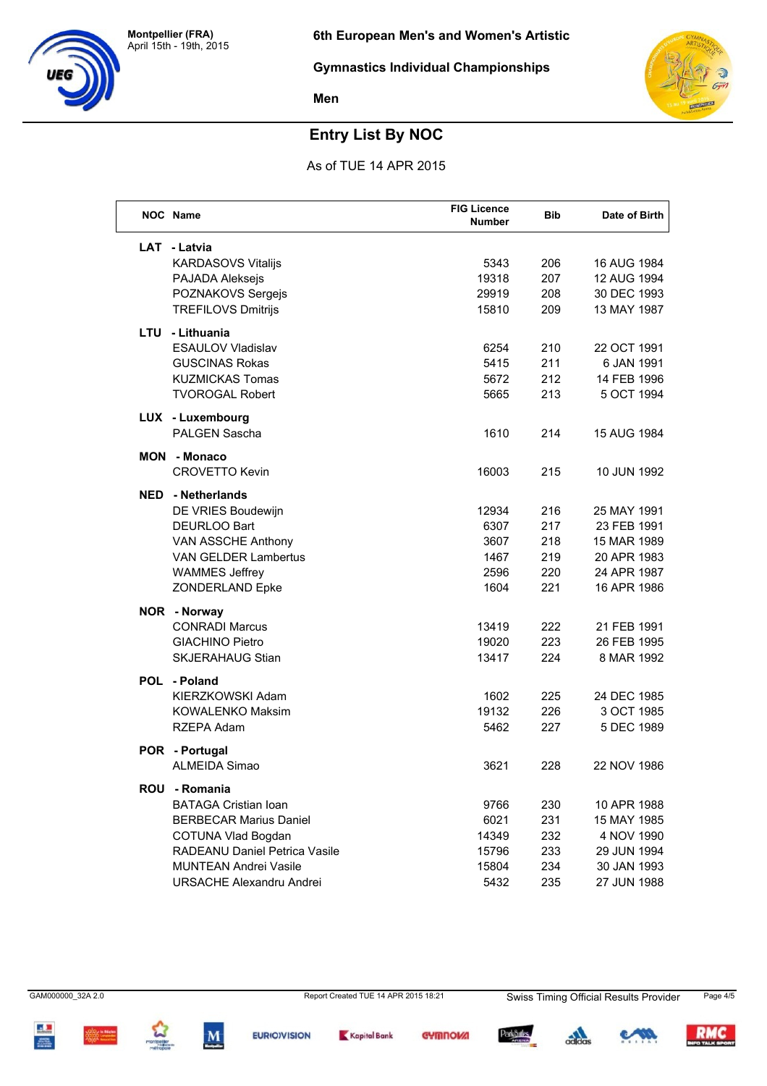



# **Entry List By NOC**

As of TUE 14 APR 2015

|     | NOC Name                        | <b>FIG Licence</b><br><b>Number</b> | <b>Bib</b> | Date of Birth |
|-----|---------------------------------|-------------------------------------|------------|---------------|
|     | LAT - Latvia                    |                                     |            |               |
|     | <b>KARDASOVS Vitalijs</b>       | 5343                                | 206        | 16 AUG 1984   |
|     | PAJADA Aleksejs                 | 19318                               | 207        | 12 AUG 1994   |
|     | POZNAKOVS Sergejs               | 29919                               | 208        | 30 DEC 1993   |
|     | <b>TREFILOVS Dmitrijs</b>       | 15810                               | 209        | 13 MAY 1987   |
|     | LTU - Lithuania                 |                                     |            |               |
|     | <b>ESAULOV Vladislav</b>        | 6254                                | 210        | 22 OCT 1991   |
|     | <b>GUSCINAS Rokas</b>           | 5415                                | 211        | 6 JAN 1991    |
|     | <b>KUZMICKAS Tomas</b>          | 5672                                | 212        | 14 FEB 1996   |
|     | <b>TVOROGAL Robert</b>          | 5665                                | 213        | 5 OCT 1994    |
|     | LUX - Luxembourg                |                                     |            |               |
|     | <b>PALGEN Sascha</b>            | 1610                                | 214        | 15 AUG 1984   |
| MON | - Monaco                        |                                     |            |               |
|     | <b>CROVETTO Kevin</b>           | 16003                               | 215        | 10 JUN 1992   |
|     | <b>NED</b> - Netherlands        |                                     |            |               |
|     | DE VRIES Boudewijn              | 12934                               | 216        | 25 MAY 1991   |
|     | <b>DEURLOO Bart</b>             | 6307                                | 217        | 23 FEB 1991   |
|     | VAN ASSCHE Anthony              | 3607                                | 218        | 15 MAR 1989   |
|     | <b>VAN GELDER Lambertus</b>     | 1467                                | 219        | 20 APR 1983   |
|     | <b>WAMMES Jeffrey</b>           | 2596                                | 220        | 24 APR 1987   |
|     | <b>ZONDERLAND Epke</b>          | 1604                                | 221        | 16 APR 1986   |
|     | NOR - Norway                    |                                     |            |               |
|     | <b>CONRADI Marcus</b>           | 13419                               | 222        | 21 FEB 1991   |
|     | <b>GIACHINO Pietro</b>          | 19020                               | 223        | 26 FEB 1995   |
|     | <b>SKJERAHAUG Stian</b>         | 13417                               | 224        | 8 MAR 1992    |
|     | POL - Poland                    |                                     |            |               |
|     | KIERZKOWSKI Adam                | 1602                                | 225        | 24 DEC 1985   |
|     | <b>KOWALENKO Maksim</b>         | 19132                               | 226        | 3 OCT 1985    |
|     | RZEPA Adam                      | 5462                                | 227        | 5 DEC 1989    |
|     | POR - Portugal                  |                                     |            |               |
|     | <b>ALMEIDA Simao</b>            | 3621                                | 228        | 22 NOV 1986   |
|     | ROU - Romania                   |                                     |            |               |
|     | <b>BATAGA Cristian Ioan</b>     | 9766                                | 230        | 10 APR 1988   |
|     | <b>BERBECAR Marius Daniel</b>   | 6021                                | 231        | 15 MAY 1985   |
|     | COTUNA Vlad Bogdan              | 14349                               | 232        | 4 NOV 1990    |
|     | RADEANU Daniel Petrica Vasile   | 15796                               | 233        | 29 JUN 1994   |
|     | <b>MUNTEAN Andrei Vasile</b>    | 15804                               | 234        | 30 JAN 1993   |
|     | <b>URSACHE Alexandru Andrei</b> | 5432                                | 235        | 27 JUN 1988   |

 $\frac{1}{2}$ 







 $\mathbf{M}$